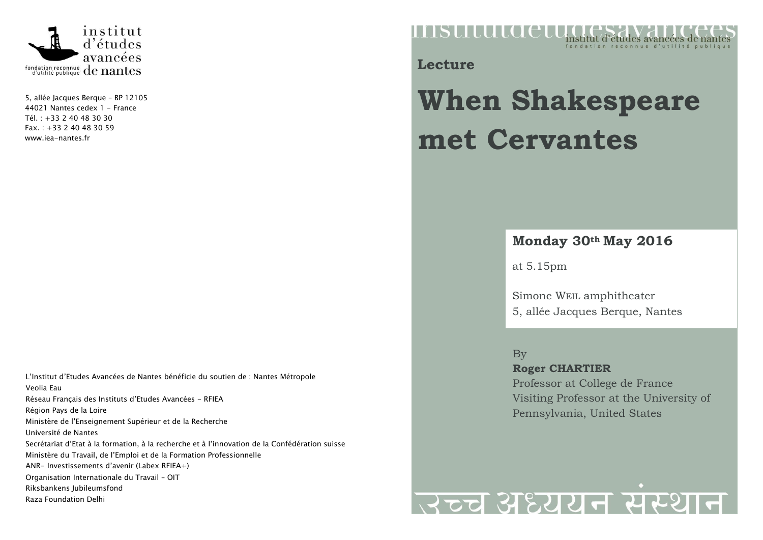

5, allée Jacques Berque – BP 12105 44021 Nantes cedex 1 - France Tél. : +33 2 40 48 30 30 Fax. : +33 2 40 48 30 59 [www.iea-nantes.fr](http://www.iea-nantes.fr/)

L'Institut d'Etudes Avancées de Nantes bénéficie du soutien de : Nantes Métropole Veolia Eau Réseau Français des Instituts d'Etudes Avancées - RFIEA Région Pays de la Loire Ministère de l'Enseignement Supérieur et de la Recherche Université de Nantes Secrétariat d'Etat à la formation, à la recherche et à l'innovation de la Confédération suisse Ministère du Travail, de l'Emploi et de la Formation Professionnelle ANR- Investissements d'avenir (Labex RFIEA+) Organisation Internationale du Travail – OIT Riksbankens Jubileumsfond Raza Foundation Delhi

mstitutaet institut d'études avancées de nan

**Lecture**

## **When Shakespeare met Cervantes**

## **Monday 30th May 2016**

at 5.15pm

Simone WEIL amphitheater 5, allée Jacques Berque, Nantes

By **Roger CHARTIER** Professor at College de France Visiting Professor at the University of Pennsylvania, United States

## उच्च अध्ययन संस्थान